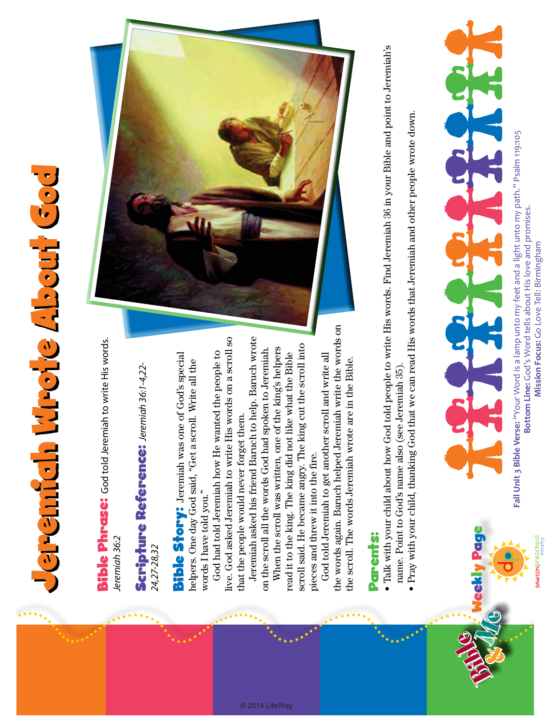## Jeremiah Wrote About God Jeremah Mrote About God

**Bible Phrase:** God told Jeremiah to write His words. Bible Phrase: God told Jeremiah to write His words. leremiah 36:2 *Jeremiah 36:2*

Scripture Reference: Jeremiah 36:1-4,22-Scripture Reference: *Jeremiah 36:1-4,22-* 24,27-28,32 *24,27-28,32*

Bible Story: Jeremiah was one of God's special **Bible Story:** Jeremiah was one of God's special helpers. One day God said, "Get a scroll. Write all the helpers. One day God said, "Get a scroll. Write all the words I have told you." words I have told you."

live. God asked Jeremiah to write His words on a scroll so live. God asked Jeremiah to write His words on a scroll so God had told Jeremiah how He wanted the people to God had told Jeremiah how He wanted the people to that the people would never forget them. that the people would never forget them.

Jeremiah asked his friend Baruch to help. Baruch wrote Jeremiah asked his friend Baruch to help. Baruch wrote on the scroll all the words God had spoken to Jeremiah. on the scroll all the words God had spoken to Jeremiah.

© 2014 LifeWay

scroll said. He became angry. The king cut the scroll into scroll said. He became angry. The king cut the scroll into When the scroll was written, one of the king's helpers When the scroll was written, one of the king's helpers read it to the king. The king did not like what the Bible read it to the king. The king did not like what the Bible pieces and threw it into the fire. pieces and threw it into the fire.

the words again. Baruch helped Jeremiah write the words on the words again. Baruch helped Jeremiah write the words on God told Jeremiah to get another scroll and write all God told Jeremiah to get another scroll and write all the scroll. The words Jeremiah wrote are in the Bible. the scroll. The words Jeremiah wrote are in the Bible.



## Parents: Parents:

- Talk with your child about how God told people to write His words. Find Jeremiah 36 in your Bible and point to Jeremiah's Talk with your child about how God told people to write His words. Find Jeremiah 36 in your Bible and point to Jeremiah's name. Point to God's name also (see Jeremiah 35). name. Point to God's name also (see Jeremiah 35).
	- Pray with your child, thanking God that we can read His words that Jeremiah and other people wrote down. Pray with your child, thanking God that we can read His words that Jeremiah and other people wrote down.



Fall Unit 3 Bible Verse: "Your Word is a lamp unto my feet and a light unto my path." Psalm 119:105 **Fall Unit 3 Bible Verse:** "Your Word is a lamp unto my feet and a light unto my path." Psalm 119:105 Bottom Line: God's Word tells about His love and promises. **Bottom Line:** God's Word tells about His love and promises. Mission Focus: Go Love Tell: Birmingham **Mission Focus:** Go Love Tell: Birmingham

**DAWSON**Preschool

Weekly Page

**Page** 

Bible &